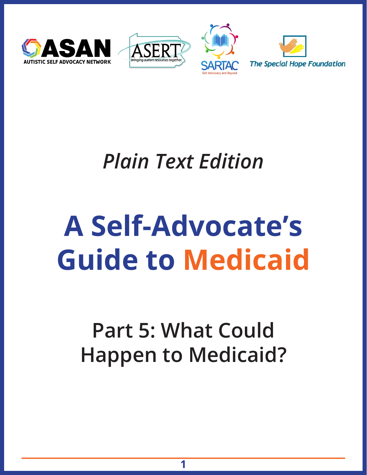





# *Plain Text Edition*

# **A Self-Advocate's Guide to Medicaid**

## **Part 5: What Could Happen to Medicaid?**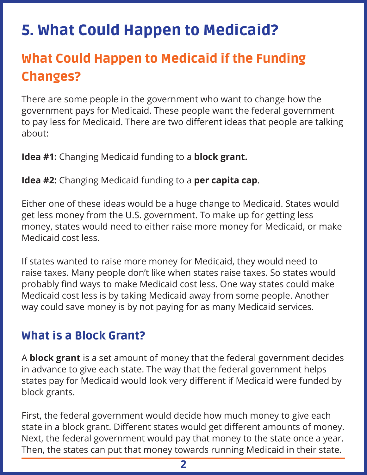### 5. What Could Happen to Medicaid?

#### What Could Happen to Medicaid if the Funding Changes?

There are some people in the government who want to change how the government pays for Medicaid. These people want the federal government to pay less for Medicaid. There are two different ideas that people are talking about:

**Idea #1:** Changing Medicaid funding to a **block grant.** 

**Idea #2:** Changing Medicaid funding to a **per capita cap**.

Either one of these ideas would be a huge change to Medicaid. States would get less money from the U.S. government. To make up for getting less money, states would need to either raise more money for Medicaid, or make Medicaid cost less.

If states wanted to raise more money for Medicaid, they would need to raise taxes. Many people don't like when states raise taxes. So states would probably find ways to make Medicaid cost less. One way states could make Medicaid cost less is by taking Medicaid away from some people. Another way could save money is by not paying for as many Medicaid services.

#### What is a Block Grant?

A **block grant** is a set amount of money that the federal government decides in advance to give each state. The way that the federal government helps states pay for Medicaid would look very different if Medicaid were funded by block grants.

First, the federal government would decide how much money to give each state in a block grant. Different states would get different amounts of money. Next, the federal government would pay that money to the state once a year. Then, the states can put that money towards running Medicaid in their state.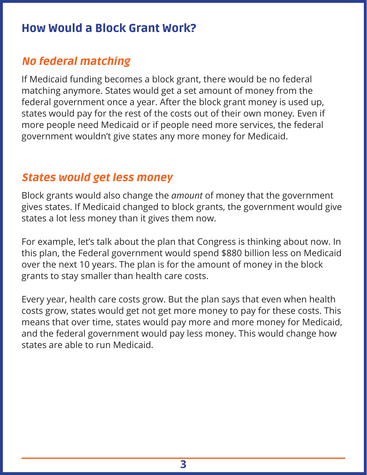#### How Would a Block Grant Work?

#### No federal matching

If Medicaid funding becomes a block grant, there would be no federal matching anymore. States would get a set amount of money from the federal government once a year. After the block grant money is used up, states would pay for the rest of the costs out of their own money. Even if more people need Medicaid or if people need more services, the federal government wouldn't give states any more money for Medicaid.

#### States would get less money

Block grants would also change the *amount* of money that the government gives states. If Medicaid changed to block grants, the government would give states a lot less money than it gives them now.

For example, let's talk about the plan that Congress is thinking about now. In this plan, the Federal government would spend \$880 billion less on Medicaid over the next 10 years. The plan is for the amount of money in the block grants to stay smaller than health care costs.

Every year, health care costs grow. But the plan says that even when health costs grow, states would get not get more money to pay for these costs. This means that over time, states would pay more and more money for Medicaid, and the federal government would pay less money. This would change how states are able to run Medicaid.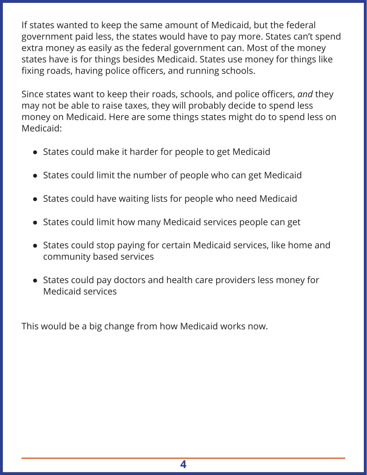If states wanted to keep the same amount of Medicaid, but the federal government paid less, the states would have to pay more. States can't spend extra money as easily as the federal government can. Most of the money states have is for things besides Medicaid. States use money for things like fixing roads, having police officers, and running schools.

Since states want to keep their roads, schools, and police officers, *and* they may not be able to raise taxes, they will probably decide to spend less money on Medicaid. Here are some things states might do to spend less on Medicaid:

- States could make it harder for people to get Medicaid
- States could limit the number of people who can get Medicaid
- States could have waiting lists for people who need Medicaid
- States could limit how many Medicaid services people can get
- States could stop paying for certain Medicaid services, like home and community based services
- States could pay doctors and health care providers less money for Medicaid services

This would be a big change from how Medicaid works now.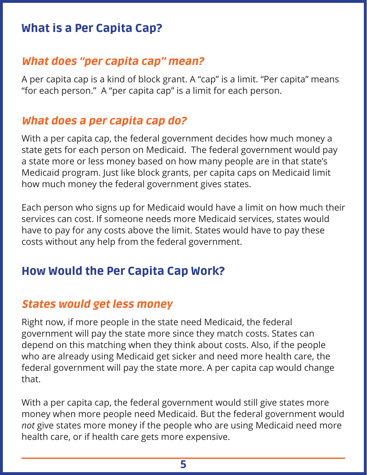#### What is a Per Capita Cap?

#### What does "per capita cap" mean?

A per capita cap is a kind of block grant. A "cap" is a limit. "Per capita" means "for each person." A "per capita cap" is a limit for each person.

#### What does a per capita cap do?

With a per capita cap, the federal government decides how much money a state gets for each person on Medicaid. The federal government would pay a state more or less money based on how many people are in that state's Medicaid program. Just like block grants, per capita caps on Medicaid limit how much money the federal government gives states.

Each person who signs up for Medicaid would have a limit on how much their services can cost. If someone needs more Medicaid services, states would have to pay for any costs above the limit. States would have to pay these costs without any help from the federal government.

#### How Would the Per Capita Cap Work?

#### States would get less money

Right now, if more people in the state need Medicaid, the federal government will pay the state more since they match costs. States can depend on this matching when they think about costs. Also, if the people who are already using Medicaid get sicker and need more health care, the federal government will pay the state more. A per capita cap would change that.

With a per capita cap, the federal government would still give states more money when more people need Medicaid. But the federal government would *not* give states more money if the people who are using Medicaid need more health care, or if health care gets more expensive.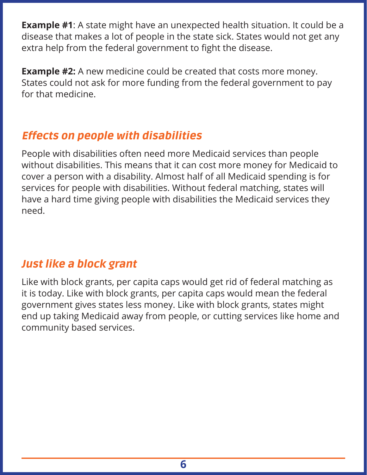**Example #1**: A state might have an unexpected health situation. It could be a disease that makes a lot of people in the state sick. States would not get any extra help from the federal government to fight the disease.

**Example #2:** A new medicine could be created that costs more money. States could not ask for more funding from the federal government to pay for that medicine.

#### Effects on people with disabilities

People with disabilities often need more Medicaid services than people without disabilities. This means that it can cost more money for Medicaid to cover a person with a disability. Almost half of all Medicaid spending is for services for people with disabilities. Without federal matching, states will have a hard time giving people with disabilities the Medicaid services they need.

#### Just like a block grant

Like with block grants, per capita caps would get rid of federal matching as it is today. Like with block grants, per capita caps would mean the federal government gives states less money. Like with block grants, states might end up taking Medicaid away from people, or cutting services like home and community based services.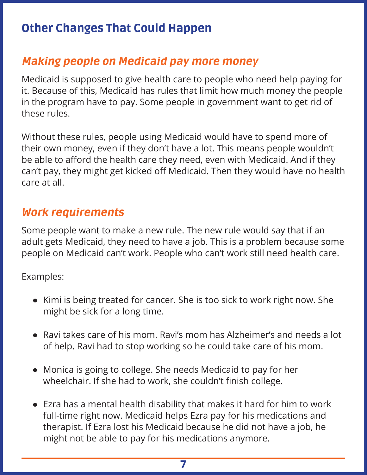#### Other Changes That Could Happen

#### Making people on Medicaid pay more money

Medicaid is supposed to give health care to people who need help paying for it. Because of this, Medicaid has rules that limit how much money the people in the program have to pay. Some people in government want to get rid of these rules.

Without these rules, people using Medicaid would have to spend more of their own money, even if they don't have a lot. This means people wouldn't be able to afford the health care they need, even with Medicaid. And if they can't pay, they might get kicked off Medicaid. Then they would have no health care at all.

#### Work requirements

Some people want to make a new rule. The new rule would say that if an adult gets Medicaid, they need to have a job. This is a problem because some people on Medicaid can't work. People who can't work still need health care.

Examples:

- Kimi is being treated for cancer. She is too sick to work right now. She might be sick for a long time.
- Ravi takes care of his mom. Ravi's mom has Alzheimer's and needs a lot of help. Ravi had to stop working so he could take care of his mom.
- Monica is going to college. She needs Medicaid to pay for her wheelchair. If she had to work, she couldn't finish college.
- Ezra has a mental health disability that makes it hard for him to work full-time right now. Medicaid helps Ezra pay for his medications and therapist. If Ezra lost his Medicaid because he did not have a job, he might not be able to pay for his medications anymore.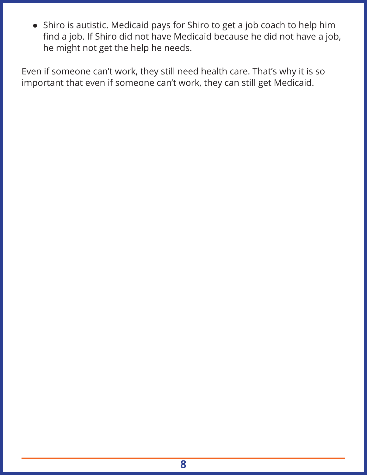• Shiro is autistic. Medicaid pays for Shiro to get a job coach to help him find a job. If Shiro did not have Medicaid because he did not have a job, he might not get the help he needs.

Even if someone can't work, they still need health care. That's why it is so important that even if someone can't work, they can still get Medicaid.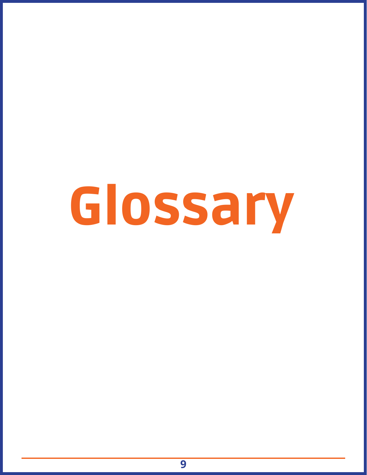# Glossary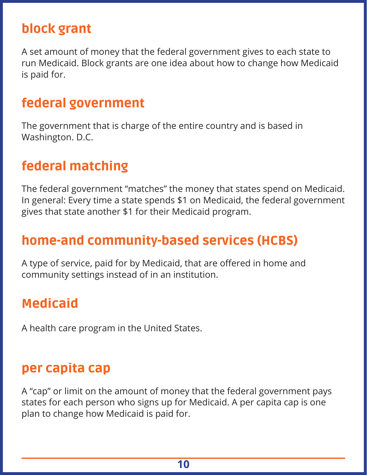#### block grant

A set amount of money that the federal government gives to each state to run Medicaid. Block grants are one idea about how to change how Medicaid is paid for.

#### federal government

The government that is charge of the entire country and is based in Washington. D.C.

#### federal matching

The federal government "matches" the money that states spend on Medicaid. In general: Every time a state spends \$1 on Medicaid, the federal government gives that state another \$1 for their Medicaid program.

#### home-and community-based services (HCBS)

A type of service, paid for by Medicaid, that are offered in home and community settings instead of in an institution.

#### Medicaid

A health care program in the United States.

#### per capita cap

A "cap" or limit on the amount of money that the federal government pays states for each person who signs up for Medicaid. A per capita cap is one plan to change how Medicaid is paid for.